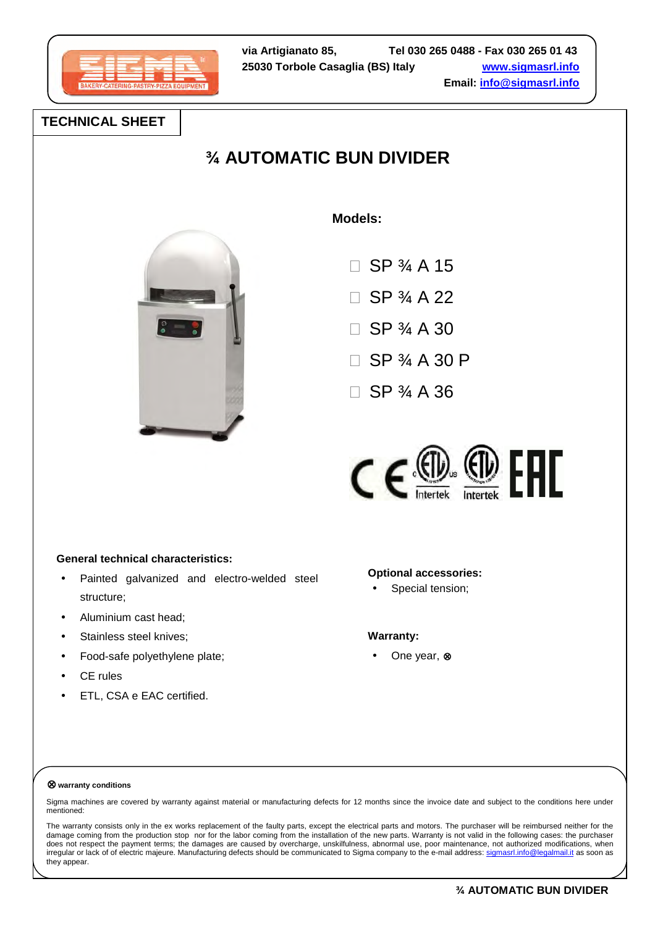

# **TECHNICAL SHEET**

# **¾ AUTOMATIC BUN DIVIDER**



 **Models:**

 SP ¾ A 15 SP ¾ A 22 SP ¾ A 30 SP ¾ A 30 P

SP ¾ A 36



# **General technical characteristics:**

- Painted galvanized and electro-welded steel structure;
- Aluminium cast head;
- Stainless steel knives;
- Food-safe polyethylene plate;
- CE rules
- ETL, CSA e EAC certified.

# **Optional accessories:**

Special tension;

#### **Warranty:**

• One year, ⊗

#### ⊗ **warranty conditions**

Sigma machines are covered by warranty against material or manufacturing defects for 12 months since the invoice date and subject to the conditions here under mentioned:

The warranty consists only in the ex works replacement of the faulty parts, except the electrical parts and motors. The purchaser will be reimbursed neither for the damage coming from the production stop nor for the labor coming from the installation of the new parts. Warranty is not valid in the following cases: the purchaser does not respect the payment terms; the damages are caused by overcharge, unskilfulness, abnormal use, poor maintenance, not authorized modifications, when irregular or lack of of electric majeure. Manufacturing defects should be communicated to Sigma company to the e-mail address: sigmasrl.info@legalmail.it as soon as they appear.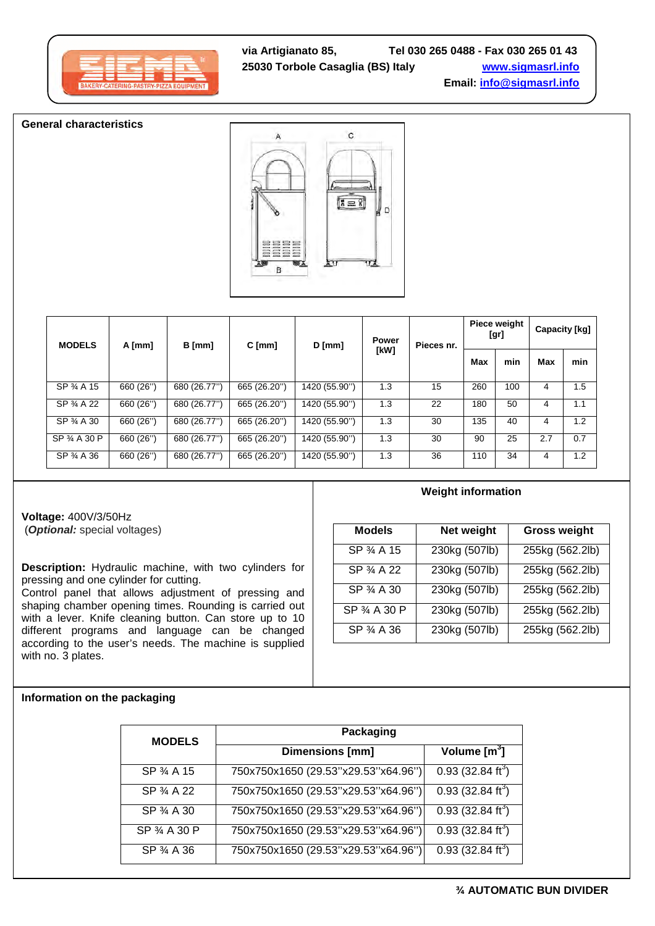**General characteristics**



| <b>MODELS</b> | A [mm]    | B [mm]       | $C$ [mm]     | $D$ [mm]      | <b>Power</b> | Pieces nr. |     | Piece weight<br>[gr] |     | Capacity [kg] |
|---------------|-----------|--------------|--------------|---------------|--------------|------------|-----|----------------------|-----|---------------|
|               |           |              |              |               | [kW]         |            |     | min                  | Max | min           |
| SP 3/4 A 15   | 660 (26") | 680 (26.77") | 665 (26.20") | 1420 (55.90") | 1.3          | 15         | 260 | 100                  | 4   | 1.5           |
| SP 3/4 A 22   | 660 (26") | 680 (26.77") | 665 (26.20") | 1420 (55.90") | 1.3          | 22         | 180 | 50                   | 4   | 1.1           |
| SP 34 A 30    | 660 (26") | 680 (26.77") | 665 (26.20") | 1420 (55.90") | 1.3          | 30         | 135 | 40                   | 4   | 1.2           |
| SP 34 A 30 P  | 660 (26") | 680 (26.77") | 665 (26.20") | 1420 (55.90") | 1.3          | 30         | 90  | 25                   | 2.7 | 0.7           |
| SP 3/4 A 36   | 660 (26") | 680 (26.77") | 665 (26.20") | 1420 (55.90") | 1.3          | 36         | 110 | 34                   | 4   | 1.2           |

**Voltage:** 400V/3/50Hz (**Optional:** special voltages)

**Description:** Hydraulic machine, with two cylinders for pressing and one cylinder for cutting.

Control panel that allows adjustment of pressing and shaping chamber opening times. Rounding is carried out with a lever. Knife cleaning button. Can store up to 10 different programs and language can be changed according to the user's needs. The machine is supplied with no. 3 plates.

# **Weight information**

| <b>Models</b> | Net weight    | <b>Gross weight</b> |
|---------------|---------------|---------------------|
| SP 3⁄4 A 15   | 230kg (507lb) | 255kg (562.2lb)     |
| SP 3/4 A 22   | 230kg (507lb) | 255kg (562.2lb)     |
| SP 34 A 30    | 230kg (507lb) | 255kg (562.2lb)     |
| SP 34 A 30 P  | 230kg (507lb) | 255kg (562.2lb)     |
| SP 3⁄4 A 36   | 230kg (507lb) | 255kg (562.2lb)     |

#### **Information on the packaging**

| <b>MODELS</b> | Packaging                           |                                 |  |  |  |  |
|---------------|-------------------------------------|---------------------------------|--|--|--|--|
|               | <b>Dimensions [mm]</b>              | Volume $[m^3]$                  |  |  |  |  |
| SP 3⁄4 A 15   | 750x750x1650 (29.53"x29.53"x64.96") | 0.93(32.84 ft <sup>3</sup> )    |  |  |  |  |
| SP 3/4 A 22   | 750x750x1650 (29.53"x29.53"x64.96") | 0.93(32.84 ft <sup>3</sup> )    |  |  |  |  |
| SP 34 A 30    | 750x750x1650 (29.53"x29.53"x64.96") | $0.93$ (32.84 ft <sup>3</sup> ) |  |  |  |  |
| SP 34 A 30 P  | 750x750x1650 (29.53"x29.53"x64.96") | 0.93(32.84 ft <sup>3</sup> )    |  |  |  |  |
| SP 34 A 36    | 750x750x1650 (29.53"x29.53"x64.96") | $0.93(32.84 ft^3)$              |  |  |  |  |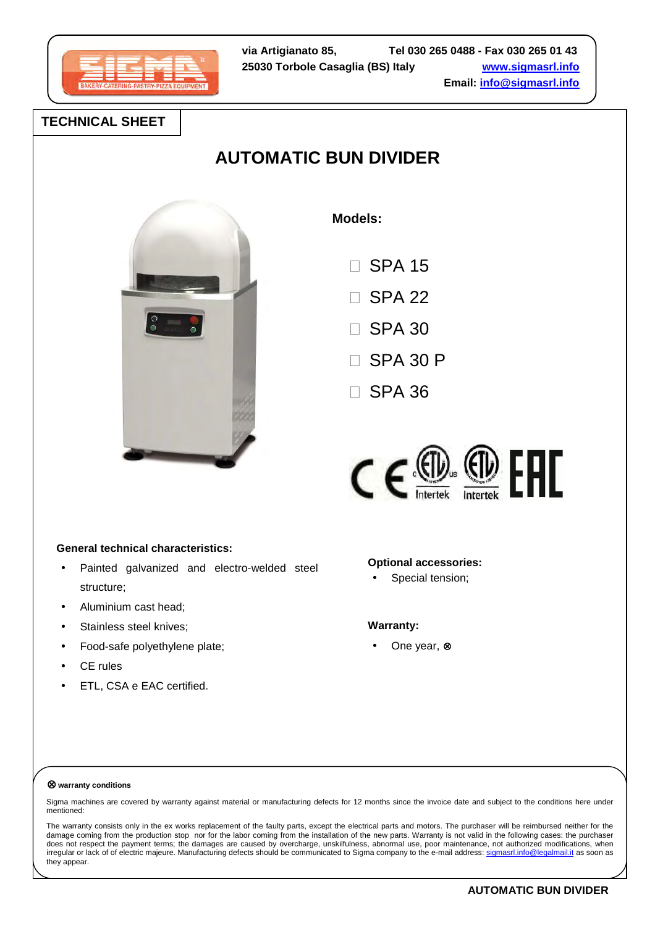

# **TECHNICAL SHEET**

# **AUTOMATIC BUN DIVIDER**



 **Models:**

| SPA 15          |
|-----------------|
| SPA 22          |
| SPA 30          |
| <b>SPA 30 P</b> |
| SPA 36          |

 $C \in \circledast$   $\circledast$   $F$   $F$ 

# **General technical characteristics:**

- Painted galvanized and electro-welded steel structure;
- Aluminium cast head;
- Stainless steel knives;
- Food-safe polyethylene plate;
- **CE** rules
- ETL, CSA e EAC certified.

# **Optional accessories:**

Special tension;

#### **Warranty:**

• One year, ⊗

#### ⊗ **warranty conditions**

Sigma machines are covered by warranty against material or manufacturing defects for 12 months since the invoice date and subject to the conditions here under mentioned:

The warranty consists only in the ex works replacement of the faulty parts, except the electrical parts and motors. The purchaser will be reimbursed neither for the damage coming from the production stop nor for the labor coming from the installation of the new parts. Warranty is not valid in the following cases: the purchaser does not respect the payment terms; the damages are caused by overcharge, unskilfulness, abnormal use, poor maintenance, not authorized modifications, when irregular or lack of of electric majeure. Manufacturing defects should be communicated to Sigma company to the e-mail address: sigmasrl.info@legalmail.it as soon as they appear.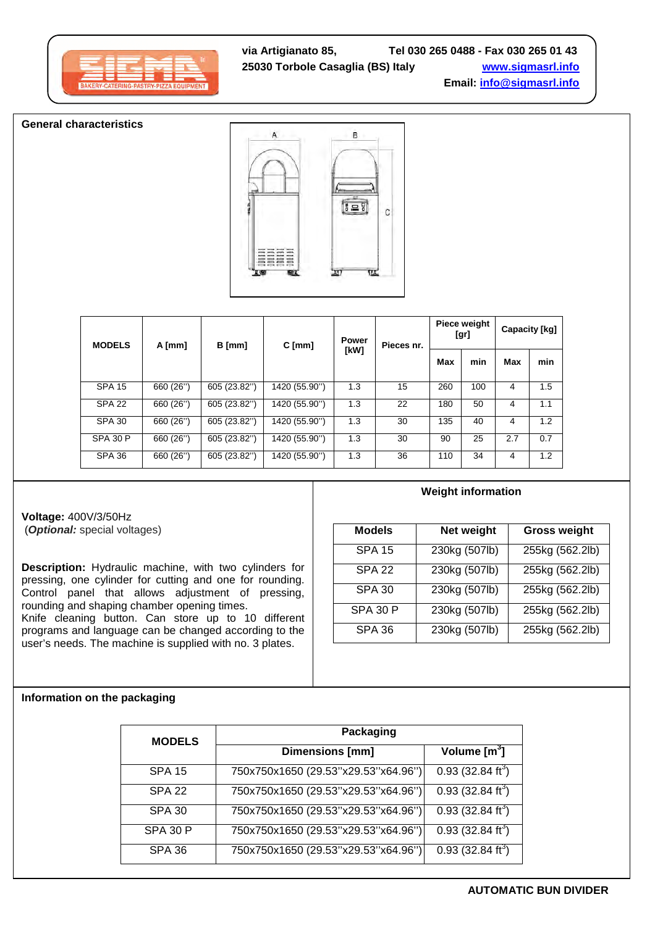#### **General characteristics**



| <b>MODELS</b>   | $A$ [mm]  | B [mm]       | $C$ [mm]      | Power | Pieces nr. |     | <b>Piece weight</b><br>[gr] | Capacity [kg] |     |
|-----------------|-----------|--------------|---------------|-------|------------|-----|-----------------------------|---------------|-----|
|                 |           |              |               | [kW]  |            | Max | min                         | Max           | min |
| <b>SPA 15</b>   | 660 (26") | 605 (23.82") | 1420 (55.90") | 1.3   | 15         | 260 | 100                         | 4             | 1.5 |
| <b>SPA 22</b>   | 660 (26") | 605 (23.82") | 1420 (55.90") | 1.3   | 22         | 180 | 50                          | 4             | 1.1 |
| <b>SPA 30</b>   | 660 (26") | 605 (23.82") | 1420 (55.90") | 1.3   | 30         | 135 | 40                          | 4             | 1.2 |
| <b>SPA 30 P</b> | 660 (26") | 605 (23.82") | 1420 (55.90") | 1.3   | 30         | 90  | 25                          | 2.7           | 0.7 |
| SPA 36          | 660 (26") | 605 (23.82") | 1420 (55.90") | 1.3   | 36         | 110 | 34                          | 4             | 1.2 |

**Voltage:** 400V/3/50Hz (**Optional:** special voltages)

**Description:** Hydraulic machine, with two cylinders for pressing, one cylinder for cutting and one for rounding. Control panel that allows adjustment of pressing, rounding and shaping chamber opening times. Knife cleaning button. Can store up to 10 different programs and language can be changed according to the user's needs. The machine is supplied with no. 3 plates.

# **Weight information**

| <b>Models</b>     | Net weight    | <b>Gross weight</b> |
|-------------------|---------------|---------------------|
| <b>SPA 15</b>     | 230kg (507lb) | 255kg (562.2lb)     |
| SPA <sub>22</sub> | 230kg (507lb) | 255kg (562.2lb)     |
| <b>SPA 30</b>     | 230kg (507lb) | 255kg (562.2lb)     |
| <b>SPA 30 P</b>   | 230kg (507lb) | 255kg (562.2lb)     |
| <b>SPA 36</b>     | 230kg (507lb) | 255kg (562.2lb)     |

#### **Information on the packaging**

| <b>MODELS</b>   | Packaging                           |                                            |  |  |  |  |
|-----------------|-------------------------------------|--------------------------------------------|--|--|--|--|
|                 | <b>Dimensions [mm]</b>              | Volume $[m^3]$                             |  |  |  |  |
| <b>SPA 15</b>   | 750x750x1650 (29.53"x29.53"x64.96") | $0.93$ (32.84 ft <sup>3</sup> )            |  |  |  |  |
| SPA 22          | 750x750x1650 (29.53"x29.53"x64.96") | $\overline{0.93}$ (32.84 ft <sup>3</sup> ) |  |  |  |  |
| <b>SPA 30</b>   | 750x750x1650 (29.53"x29.53"x64.96") | $0.93$ (32.84 ft <sup>3</sup> )            |  |  |  |  |
| <b>SPA 30 P</b> | 750x750x1650 (29.53"x29.53"x64.96") | $\overline{0.93}$ (32.84 ft <sup>3</sup> ) |  |  |  |  |
| SPA 36          | 750x750x1650 (29.53"x29.53"x64.96") | 0.93 (32.84 ft <sup>3</sup> )              |  |  |  |  |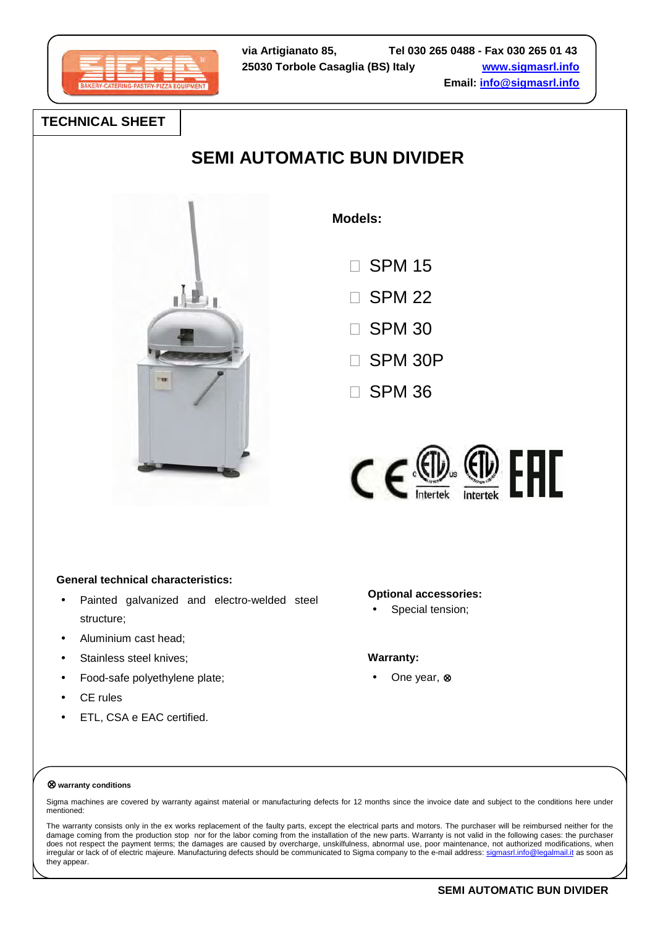

# **TECHNICAL SHEET**

# **SEMI AUTOMATIC BUN DIVIDER**



 **Models:**

 SPM 15 SPM 22 SPM 30

SPM 30P

SPM 36



# **General technical characteristics:**

- Painted galvanized and electro-welded steel structure;
- Aluminium cast head;
- Stainless steel knives;
- Food-safe polyethylene plate;
- CE rules
- ETL, CSA e EAC certified.

# **Optional accessories:**

Special tension;

# **Warranty:**

• One year, ⊗

#### ⊗ **warranty conditions**

Sigma machines are covered by warranty against material or manufacturing defects for 12 months since the invoice date and subject to the conditions here under mentioned:

The warranty consists only in the ex works replacement of the faulty parts, except the electrical parts and motors. The purchaser will be reimbursed neither for the damage coming from the production stop nor for the labor coming from the installation of the new parts. Warranty is not valid in the following cases: the purchaser does not respect the payment terms; the damages are caused by overcharge, unskilfulness, abnormal use, poor maintenance, not authorized modifications, when irregular or lack of of electric majeure. Manufacturing defects should be communicated to Sigma company to the e-mail address: sigmasrl.info@legalmail.it as soon as they appear.